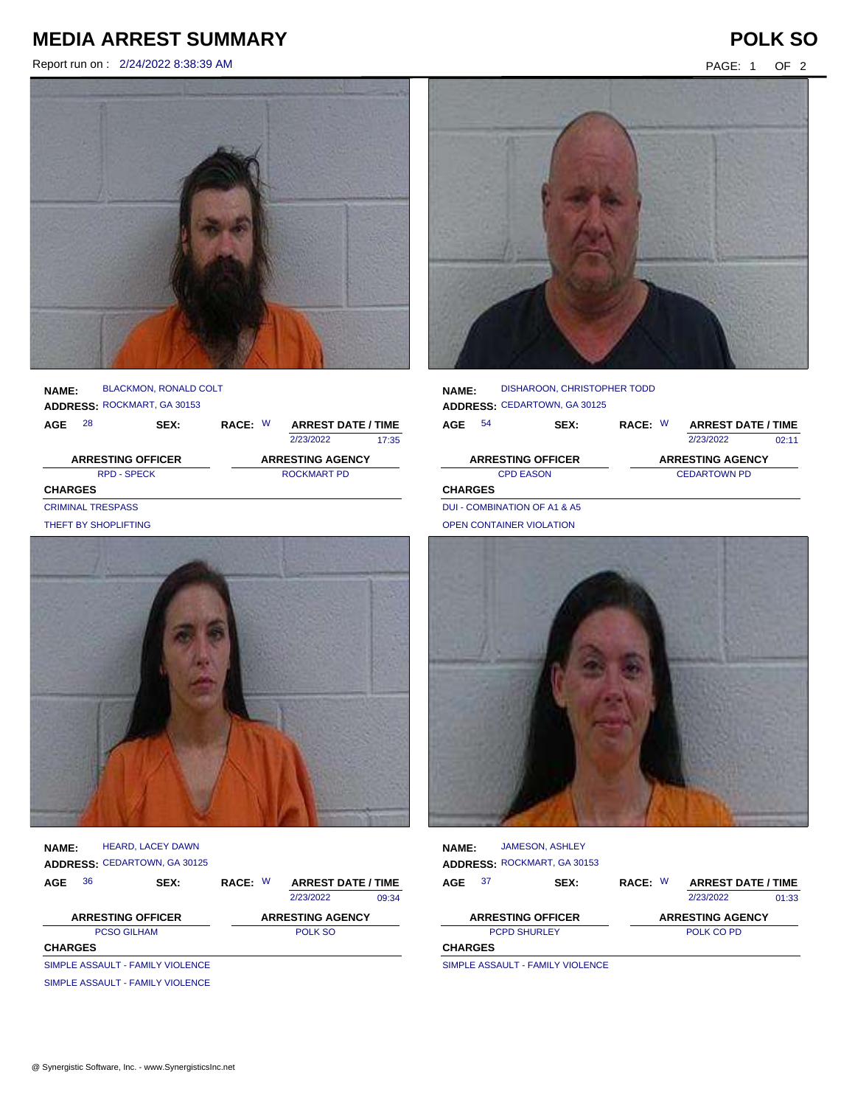## **MEDIA ARREST SUMMARY POLK SO**

Report run on : 2/24/2022 8:38:39 AM PAGE: 1 OF 2





## **NAME:** BLACKMON, RONALD COLT ROCKMART, GA 30153

| <b>ADDRESS: ROCKMART, GA 30153</b> |    |      |                         |  |                           |       |  |  |
|------------------------------------|----|------|-------------------------|--|---------------------------|-------|--|--|
| AGE                                | 28 | SEX: | RACE: W                 |  | <b>ARREST DATE / TIME</b> |       |  |  |
|                                    |    |      |                         |  | 2/23/2022                 | 17:35 |  |  |
| <b>ARRESTING OFFICER</b>           |    |      | <b>ARRESTING AGENCY</b> |  |                           |       |  |  |
| <b>RPD - SPECK</b>                 |    |      |                         |  | <b>ROCKMART PD</b>        |       |  |  |
| <b>CHARGES</b>                     |    |      |                         |  |                           |       |  |  |
| <b>CRIMINAL TRESPASS</b>           |    |      |                         |  |                           |       |  |  |
| THEFT BY SHOPLIFTING               |    |      |                         |  |                           |       |  |  |



**NAME: ADDRESS:** CEDARTOWN, GA 30125 HEARD, LACEY DAWN

| AGE                              | 36                               | SEX: | RACE: W |  | <b>ARREST DATE / TIME</b> |       |
|----------------------------------|----------------------------------|------|---------|--|---------------------------|-------|
|                                  |                                  |      |         |  | 2/23/2022                 | 09:34 |
|                                  | <b>ARRESTING OFFICER</b>         |      |         |  | <b>ARRESTING AGENCY</b>   |       |
| <b>PCSO GILHAM</b>               |                                  |      |         |  | POLK SO                   |       |
| <b>CHARGES</b>                   |                                  |      |         |  |                           |       |
|                                  | SIMPLE ASSAULT - FAMILY VIOLENCE |      |         |  |                           |       |
| SIMPLE ASSAULT - FAMILY VIOLENCE |                                  |      |         |  |                           |       |



| <b>NAME:</b>                 |    | DISHAROON, CHRISTOPHER TODD         |         |                           |       |
|------------------------------|----|-------------------------------------|---------|---------------------------|-------|
|                              |    | <b>ADDRESS: CEDARTOWN, GA 30125</b> |         |                           |       |
| AGE                          | 54 | SEX:                                | RACE: W | <b>ARREST DATE / TIME</b> |       |
|                              |    |                                     |         | 2/23/2022                 | 02.11 |
| <b>ARRESTING OFFICER</b>     |    |                                     |         | <b>ARRESTING AGENCY</b>   |       |
|                              |    | <b>CPD EASON</b>                    |         | <b>CEDARTOWN PD</b>       |       |
| <b>CHARGES</b>               |    |                                     |         |                           |       |
| DUI - COMBINATION OF A1 & A5 |    |                                     |         |                           |       |



| <b>NAME:</b>   |     | <b>JAMESON, ASHLEY</b>                   |         |                           |       |
|----------------|-----|------------------------------------------|---------|---------------------------|-------|
|                |     | ADDRESS: ROCKMART, GA 30153              |         |                           |       |
| AGE            | -37 | <b>SEX:</b>                              | RACE: W | <b>ARREST DATE / TIME</b> |       |
|                |     |                                          |         | 2/23/2022                 | 01:33 |
|                |     | <b>ARRESTING OFFICER</b>                 |         | <b>ARRESTING AGENCY</b>   |       |
|                |     | <b>PCPD SHURLEY</b>                      |         | POLK CO PD                |       |
| <b>CHARGES</b> |     |                                          |         |                           |       |
|                |     | <b>CIMDLE ACCALILT - EAMILY VIOLENCE</b> |         |                           |       |

SIMPLE ASSAULT - FAMILY VIOLENCE